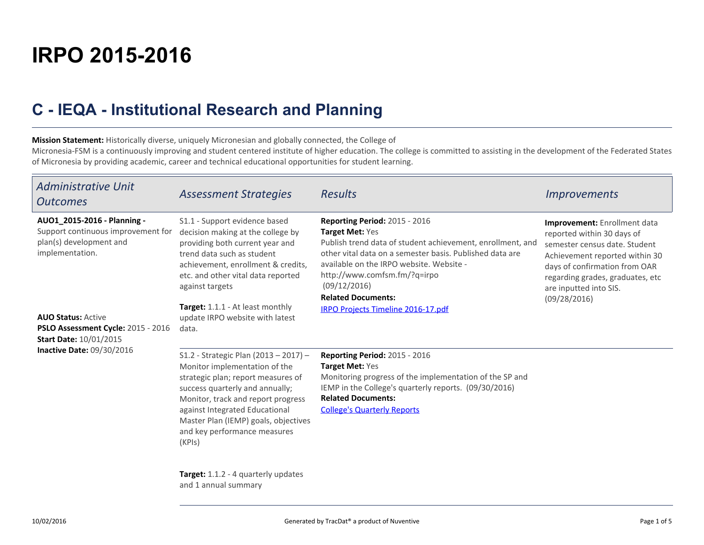## **IRPO 2015-2016**

## **C - IEQA - Institutional Research and Planning**

**Mission Statement:** Historically diverse, uniquely Micronesian and globally connected, the College of

 Micronesia-FSM is a continuously improving and student centered institute of higher education. The college is committed to assisting in the development of the Federated Statesof Micronesia by providing academic, career and technical educational opportunities for student learning.

| Administrative Unit<br><b>Outcomes</b>                                                                                                                                                                                                           | <b>Assessment Strategies</b>                                                                                                                                                                                                                                                                                                                            | <b>Results</b>                                                                                                                                                                                                                                                                                                                                          | <i>Improvements</i>                                                                                                                                                                                                                                 |
|--------------------------------------------------------------------------------------------------------------------------------------------------------------------------------------------------------------------------------------------------|---------------------------------------------------------------------------------------------------------------------------------------------------------------------------------------------------------------------------------------------------------------------------------------------------------------------------------------------------------|---------------------------------------------------------------------------------------------------------------------------------------------------------------------------------------------------------------------------------------------------------------------------------------------------------------------------------------------------------|-----------------------------------------------------------------------------------------------------------------------------------------------------------------------------------------------------------------------------------------------------|
| AUO1_2015-2016 - Planning -<br>Support continuous improvement for<br>plan(s) development and<br>implementation.<br><b>AUO Status: Active</b><br>PSLO Assessment Cycle: 2015 - 2016<br><b>Start Date: 10/01/2015</b><br>Inactive Date: 09/30/2016 | S1.1 - Support evidence based<br>decision making at the college by<br>providing both current year and<br>trend data such as student<br>achievement, enrollment & credits,<br>etc. and other vital data reported<br>against targets<br><b>Target:</b> 1.1.1 - At least monthly<br>update IRPO website with latest<br>data.                               | <b>Reporting Period: 2015 - 2016</b><br><b>Target Met: Yes</b><br>Publish trend data of student achievement, enrollment, and<br>other vital data on a semester basis. Published data are<br>available on the IRPO website. Website -<br>http://www.comfsm.fm/?q=irpo<br>(09/12/2016)<br><b>Related Documents:</b><br>IRPO Projects Timeline 2016-17.pdf | <b>Improvement:</b> Enrollment data<br>reported within 30 days of<br>semester census date. Student<br>Achievement reported within 30<br>days of confirmation from OAR<br>regarding grades, graduates, etc<br>are inputted into SIS.<br>(09/28/2016) |
|                                                                                                                                                                                                                                                  | S1.2 - Strategic Plan (2013 - 2017) -<br>Monitor implementation of the<br>strategic plan; report measures of<br>success quarterly and annually;<br>Monitor, track and report progress<br>against Integrated Educational<br>Master Plan (IEMP) goals, objectives<br>and key performance measures<br>(KPIs)<br><b>Target:</b> 1.1.2 - 4 quarterly updates | <b>Reporting Period: 2015 - 2016</b><br><b>Target Met: Yes</b><br>Monitoring progress of the implementation of the SP and<br>IEMP in the College's quarterly reports. (09/30/2016)<br><b>Related Documents:</b><br><b>College's Quarterly Reports</b>                                                                                                   |                                                                                                                                                                                                                                                     |

and 1 annual summary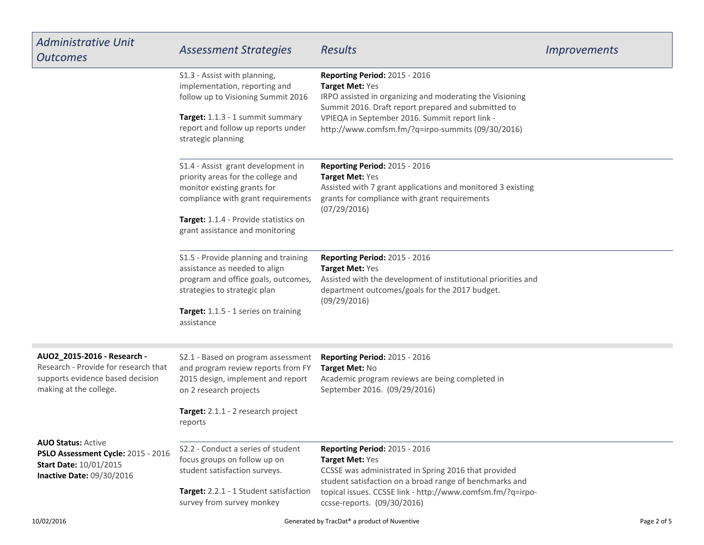| <b>Administrative Unit</b><br><b>Outcomes</b>                                                                                        | <b>Assessment Strategies</b>                                                                                                                                                                                              | <b>Results</b>                                                                                                                                                                                                                                                                    | <i>Improvements</i> |
|--------------------------------------------------------------------------------------------------------------------------------------|---------------------------------------------------------------------------------------------------------------------------------------------------------------------------------------------------------------------------|-----------------------------------------------------------------------------------------------------------------------------------------------------------------------------------------------------------------------------------------------------------------------------------|---------------------|
|                                                                                                                                      | S1.3 - Assist with planning,<br>implementation, reporting and<br>follow up to Visioning Summit 2016<br>Target: 1.1.3 - 1 summit summary<br>report and follow up reports under<br>strategic planning                       | <b>Reporting Period: 2015 - 2016</b><br>Target Met: Yes<br>IRPO assisted in organizing and moderating the Visioning<br>Summit 2016. Draft report prepared and submitted to<br>VPIEQA in September 2016. Summit report link -<br>http://www.comfsm.fm/?q=irpo-summits (09/30/2016) |                     |
|                                                                                                                                      | S1.4 - Assist grant development in<br>priority areas for the college and<br>monitor existing grants for<br>compliance with grant requirements<br>Target: 1.1.4 - Provide statistics on<br>grant assistance and monitoring | <b>Reporting Period: 2015 - 2016</b><br>Target Met: Yes<br>Assisted with 7 grant applications and monitored 3 existing<br>grants for compliance with grant requirements<br>(07/29/2016)                                                                                           |                     |
|                                                                                                                                      | S1.5 - Provide planning and training<br>assistance as needed to align<br>program and office goals, outcomes,<br>strategies to strategic plan<br>Target: 1.1.5 - 1 series on training<br>assistance                        | <b>Reporting Period: 2015 - 2016</b><br>Target Met: Yes<br>Assisted with the development of institutional priorities and<br>department outcomes/goals for the 2017 budget.<br>(09/29/2016)                                                                                        |                     |
| AUO2_2015-2016 - Research -<br>Research - Provide for research that<br>supports evidence based decision<br>making at the college.    | S2.1 - Based on program assessment<br>and program review reports from FY<br>2015 design, implement and report<br>on 2 research projects<br>Target: 2.1.1 - 2 research project<br>reports                                  | Reporting Period: 2015 - 2016<br>Target Met: No<br>Academic program reviews are being completed in<br>September 2016. (09/29/2016)                                                                                                                                                |                     |
| <b>AUO Status: Active</b><br>PSLO Assessment Cycle: 2015 - 2016<br><b>Start Date: 10/01/2015</b><br><b>Inactive Date: 09/30/2016</b> | S2.2 - Conduct a series of student<br>focus groups on follow up on<br>student satisfaction surveys.<br>Target: 2.2.1 - 1 Student satisfaction<br>survey from survey monkey                                                | <b>Reporting Period: 2015 - 2016</b><br>Target Met: Yes<br>CCSSE was administrated in Spring 2016 that provided<br>student satisfaction on a broad range of benchmarks and<br>topical issues. CCSSE link - http://www.comfsm.fm/?q=irpo-<br>ccsse-reports. (09/30/2016)           |                     |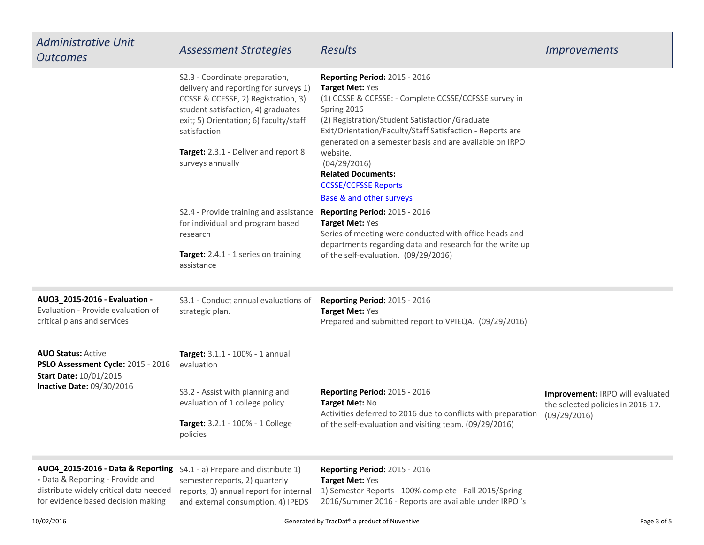| Administrative Unit<br><b>Outcomes</b>                                                                                                                | <b>Assessment Strategies</b>                                                                                                                                                                                                                                               | Results                                                                                                                                                                                                                                                                                                                                                                                                                                  | <i>Improvements</i>                                                                   |
|-------------------------------------------------------------------------------------------------------------------------------------------------------|----------------------------------------------------------------------------------------------------------------------------------------------------------------------------------------------------------------------------------------------------------------------------|------------------------------------------------------------------------------------------------------------------------------------------------------------------------------------------------------------------------------------------------------------------------------------------------------------------------------------------------------------------------------------------------------------------------------------------|---------------------------------------------------------------------------------------|
|                                                                                                                                                       | S2.3 - Coordinate preparation,<br>delivery and reporting for surveys 1)<br>CCSSE & CCFSSE, 2) Registration, 3)<br>student satisfaction, 4) graduates<br>exit; 5) Orientation; 6) faculty/staff<br>satisfaction<br>Target: 2.3.1 - Deliver and report 8<br>surveys annually | <b>Reporting Period: 2015 - 2016</b><br>Target Met: Yes<br>(1) CCSSE & CCFSSE: - Complete CCSSE/CCFSSE survey in<br>Spring 2016<br>(2) Registration/Student Satisfaction/Graduate<br>Exit/Orientation/Faculty/Staff Satisfaction - Reports are<br>generated on a semester basis and are available on IRPO<br>website.<br>(04/29/2016)<br><b>Related Documents:</b><br><b>CCSSE/CCFSSE Reports</b><br><b>Base &amp; and other surveys</b> |                                                                                       |
|                                                                                                                                                       | S2.4 - Provide training and assistance<br>for individual and program based<br>research<br>Target: 2.4.1 - 1 series on training<br>assistance                                                                                                                               | <b>Reporting Period: 2015 - 2016</b><br>Target Met: Yes<br>Series of meeting were conducted with office heads and<br>departments regarding data and research for the write up<br>of the self-evaluation. (09/29/2016)                                                                                                                                                                                                                    |                                                                                       |
| AUO3_2015-2016 - Evaluation -<br>Evaluation - Provide evaluation of<br>critical plans and services                                                    | S3.1 - Conduct annual evaluations of<br>strategic plan.                                                                                                                                                                                                                    | Reporting Period: 2015 - 2016<br>Target Met: Yes<br>Prepared and submitted report to VPIEQA. (09/29/2016)                                                                                                                                                                                                                                                                                                                                |                                                                                       |
| <b>AUO Status: Active</b><br>PSLO Assessment Cycle: 2015 - 2016<br><b>Start Date: 10/01/2015</b>                                                      | Target: 3.1.1 - 100% - 1 annual<br>evaluation                                                                                                                                                                                                                              |                                                                                                                                                                                                                                                                                                                                                                                                                                          |                                                                                       |
| Inactive Date: 09/30/2016                                                                                                                             | S3.2 - Assist with planning and<br>evaluation of 1 college policy<br>Target: 3.2.1 - 100% - 1 College<br>policies                                                                                                                                                          | <b>Reporting Period: 2015 - 2016</b><br>Target Met: No<br>Activities deferred to 2016 due to conflicts with preparation<br>of the self-evaluation and visiting team. (09/29/2016)                                                                                                                                                                                                                                                        | Improvement: IRPO will evaluated<br>the selected policies in 2016-17.<br>(09/29/2016) |
| AUO4_2015-2016 - Data & Reporting<br>- Data & Reporting - Provide and<br>distribute widely critical data needed<br>for evidence based decision making | S4.1 - a) Prepare and distribute 1)<br>semester reports, 2) quarterly<br>reports, 3) annual report for internal<br>and external consumption, 4) IPEDS                                                                                                                      | <b>Reporting Period: 2015 - 2016</b><br>Target Met: Yes<br>1) Semester Reports - 100% complete - Fall 2015/Spring<br>2016/Summer 2016 - Reports are available under IRPO 's                                                                                                                                                                                                                                                              |                                                                                       |
| 10/02/2016                                                                                                                                            |                                                                                                                                                                                                                                                                            | Generated by TracDat® a product of Nuventive                                                                                                                                                                                                                                                                                                                                                                                             | Page 3 of 5                                                                           |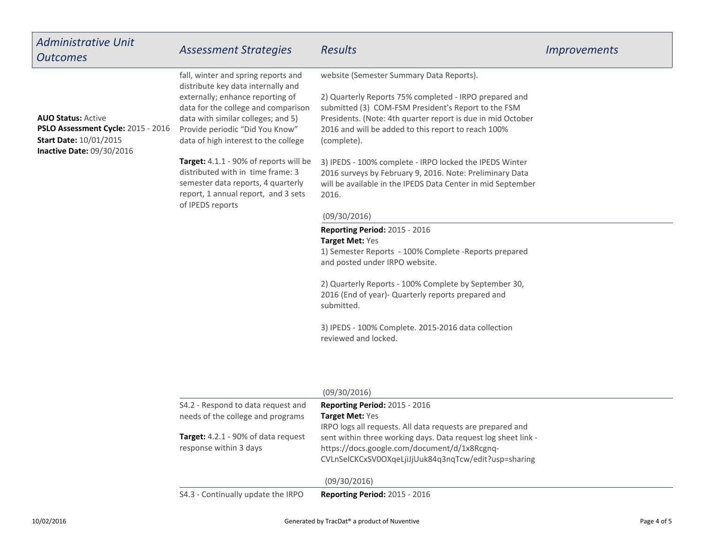| Administrative Unit<br><b>Outcomes</b>                                                                                        | <b>Assessment Strategies</b>                                                                                                                                                                                                                                          | <b>Results</b>                                                                                                                                                                                                                                                                                                                                           | <i><u><b>Improvements</b></u></i> |
|-------------------------------------------------------------------------------------------------------------------------------|-----------------------------------------------------------------------------------------------------------------------------------------------------------------------------------------------------------------------------------------------------------------------|----------------------------------------------------------------------------------------------------------------------------------------------------------------------------------------------------------------------------------------------------------------------------------------------------------------------------------------------------------|-----------------------------------|
| <b>AUO Status: Active</b><br>PSLO Assessment Cycle: 2015 - 2016<br><b>Start Date: 10/01/2015</b><br>Inactive Date: 09/30/2016 | fall, winter and spring reports and<br>distribute key data internally and<br>externally; enhance reporting of<br>data for the college and comparison<br>data with similar colleges; and 5)<br>Provide periodic "Did You Know"<br>data of high interest to the college | website (Semester Summary Data Reports).<br>2) Quarterly Reports 75% completed - IRPO prepared and<br>submitted (3) COM-FSM President's Report to the FSM<br>Presidents. (Note: 4th quarter report is due in mid October<br>2016 and will be added to this report to reach 100%<br>(complete).                                                           |                                   |
|                                                                                                                               | Target: 4.1.1 - 90% of reports will be<br>distributed with in time frame: 3<br>semester data reports, 4 quarterly<br>report, 1 annual report, and 3 sets<br>of IPEDS reports                                                                                          | 3) IPEDS - 100% complete - IRPO locked the IPEDS Winter<br>2016 surveys by February 9, 2016. Note: Preliminary Data<br>will be available in the IPEDS Data Center in mid September<br>2016.                                                                                                                                                              |                                   |
|                                                                                                                               |                                                                                                                                                                                                                                                                       | (09/30/2016)                                                                                                                                                                                                                                                                                                                                             |                                   |
|                                                                                                                               |                                                                                                                                                                                                                                                                       | Reporting Period: 2015 - 2016<br>Target Met: Yes<br>1) Semester Reports - 100% Complete - Reports prepared<br>and posted under IRPO website.<br>2) Quarterly Reports - 100% Complete by September 30,<br>2016 (End of year)- Quarterly reports prepared and<br>submitted.<br>3) IPEDS - 100% Complete. 2015-2016 data collection<br>reviewed and locked. |                                   |
|                                                                                                                               |                                                                                                                                                                                                                                                                       | (09/30/2016)                                                                                                                                                                                                                                                                                                                                             |                                   |
|                                                                                                                               | S4.2 - Respond to data request and<br>needs of the college and programs<br>Target: 4.2.1 - 90% of data request<br>response within 3 days                                                                                                                              | Reporting Period: 2015 - 2016<br>Target Met: Yes<br>IRPO logs all requests. All data requests are prepared and<br>sent within three working days. Data request log sheet link -<br>https://docs.google.com/document/d/1x8Rcgnq-<br>CVLnSelCKCxSV0OXqeLjiJjUuk84q3nqTcw/edit?usp=sharing                                                                  |                                   |
|                                                                                                                               |                                                                                                                                                                                                                                                                       | (09/30/2016)                                                                                                                                                                                                                                                                                                                                             |                                   |
|                                                                                                                               | S4.3 - Continually update the IRPO                                                                                                                                                                                                                                    | <b>Reporting Period: 2015 - 2016</b>                                                                                                                                                                                                                                                                                                                     |                                   |